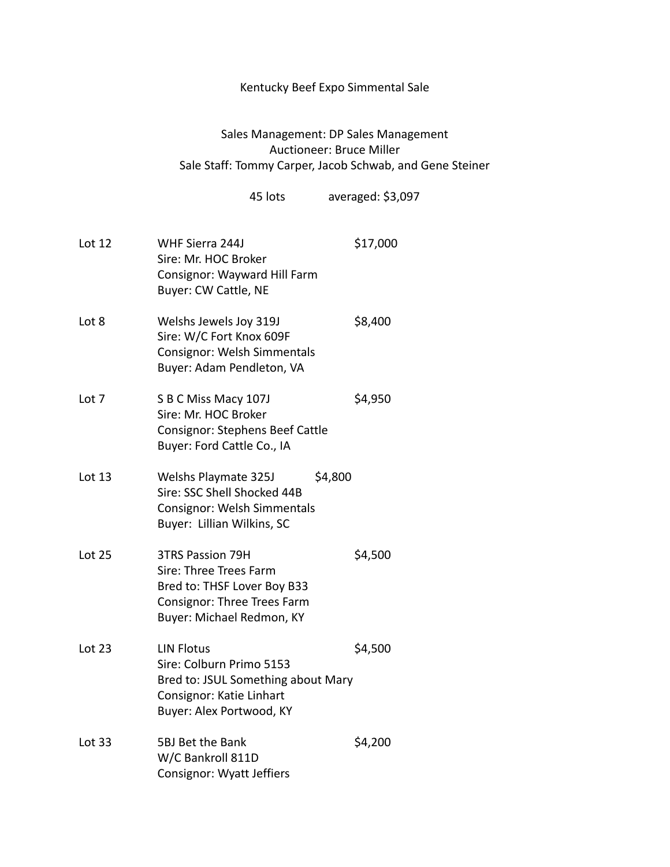## Kentucky Beef Expo Simmental Sale

## Sales Management: DP Sales Management Auctioneer: Bruce Miller Sale Staff: Tommy Carper, Jacob Schwab, and Gene Steiner

45 lots averaged: \$3,097

| Lot 12        | WHF Sierra 244J<br>Sire: Mr. HOC Broker<br>Consignor: Wayward Hill Farm<br>Buyer: CW Cattle, NE                                              | \$17,000 |
|---------------|----------------------------------------------------------------------------------------------------------------------------------------------|----------|
| Lot 8         | Welshs Jewels Joy 319J<br>Sire: W/C Fort Knox 609F<br>Consignor: Welsh Simmentals<br>Buyer: Adam Pendleton, VA                               | \$8,400  |
| Lot 7         | S B C Miss Macy 107J<br>Sire: Mr. HOC Broker<br>Consignor: Stephens Beef Cattle<br>Buyer: Ford Cattle Co., IA                                | \$4,950  |
| Lot 13        | \$4,800<br>Welshs Playmate 325J<br>Sire: SSC Shell Shocked 44B<br>Consignor: Welsh Simmentals<br>Buyer: Lillian Wilkins, SC                  |          |
| <b>Lot 25</b> | <b>3TRS Passion 79H</b><br>Sire: Three Trees Farm<br>Bred to: THSF Lover Boy B33<br>Consignor: Three Trees Farm<br>Buyer: Michael Redmon, KY | \$4,500  |
| Lot $23$      | <b>LIN Flotus</b><br>Sire: Colburn Primo 5153<br>Bred to: JSUL Something about Mary<br>Consignor: Katie Linhart<br>Buyer: Alex Portwood, KY  | \$4,500  |
| Lot $33$      | 5BJ Bet the Bank<br>W/C Bankroll 811D<br><b>Consignor: Wyatt Jeffiers</b>                                                                    | \$4,200  |